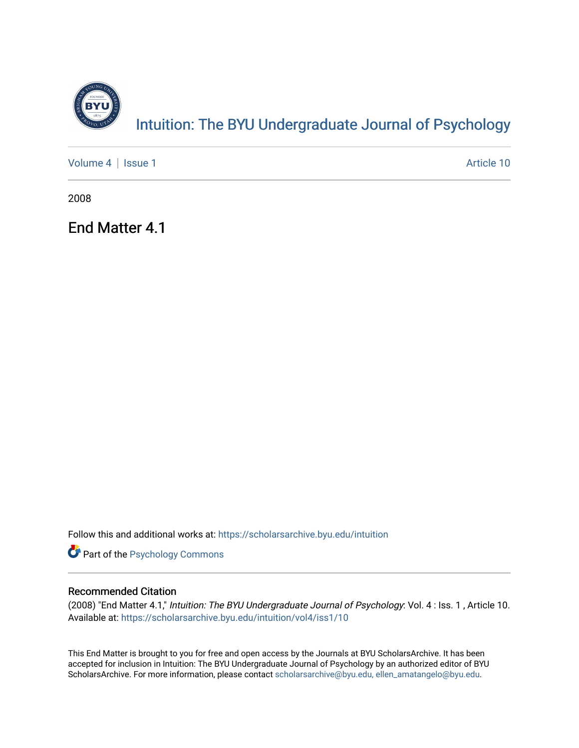

[Volume 4](https://scholarsarchive.byu.edu/intuition/vol4) | [Issue 1](https://scholarsarchive.byu.edu/intuition/vol4/iss1) Article 10

2008

End Matter 4.1

Follow this and additional works at: [https://scholarsarchive.byu.edu/intuition](https://scholarsarchive.byu.edu/intuition?utm_source=scholarsarchive.byu.edu%2Fintuition%2Fvol4%2Fiss1%2F10&utm_medium=PDF&utm_campaign=PDFCoverPages) 

**Part of the Psychology Commons** 

## Recommended Citation

(2008) "End Matter 4.1," Intuition: The BYU Undergraduate Journal of Psychology: Vol. 4 : Iss. 1 , Article 10. Available at: [https://scholarsarchive.byu.edu/intuition/vol4/iss1/10](https://scholarsarchive.byu.edu/intuition/vol4/iss1/10?utm_source=scholarsarchive.byu.edu%2Fintuition%2Fvol4%2Fiss1%2F10&utm_medium=PDF&utm_campaign=PDFCoverPages) 

This End Matter is brought to you for free and open access by the Journals at BYU ScholarsArchive. It has been accepted for inclusion in Intuition: The BYU Undergraduate Journal of Psychology by an authorized editor of BYU ScholarsArchive. For more information, please contact [scholarsarchive@byu.edu, ellen\\_amatangelo@byu.edu.](mailto:scholarsarchive@byu.edu,%20ellen_amatangelo@byu.edu)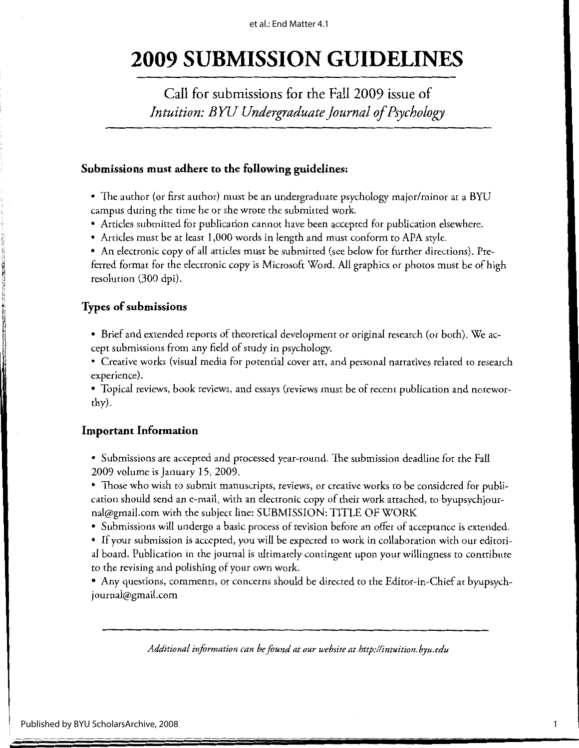# **2009 SUBMISSION GUIDELINES**

Call for submissions for the Fall 2009 issue of *Intuition: BYU Undergraduate Journal of Psychology* 

#### **Submissions must adhere to the following guidelines:**

- The author (or first author) must be an undergraduate psychology major/minor at a BYU campus during the time he or she wrote the submitted work.
- Articles submitted for publication cannot have been accepted for publication elsewhere.
- Articles must be at least 1,000 words in length and must conform to APA style.

• An electronic copy of all articles must be submitted (see below for further directions). Preferred format for the electronic copy is Microsoft Word. All graphics or photos must be of high resolution (300 dpi).

## **Types of submissions**

I

I '

> ~' :1 H ,, ti. <sup>~</sup>J **fi**  I

- Brief and extended reports of theoretical development or original research (or both). We accept submissions from any field of study in psychology.
- Creative works (visual media for potential cover art, and personal narratives related to research experience).

• Topical reviews, book reviews, and essays (reviews must be of recent publication and noteworthy).

## **Important Information**

• Submissions are accepted and processed year-round. The submission deadline for the Fall 2009 volume is January 15, 2009.

• Those who wish to submit manuscripts, reviews, or creative works to be considered for publication should send an e-mail, with an electronic copy of their work attached, to byupsychjournal@gmail.com with the subject line: SUBMISSION: TITLE OF WORK

- Submissions will undergo a basic process of revision before an offer of acceptance is extended.
- If your submission is accepted, you will be expected to work in collaboration with our editorial board. Publication in the journal is ultimately contingent upon your willingness to contribute to the revising and polishing of your own work.

• Any questions, comments, or concerns should be directed to the Editor-in-Chief at byupsychjournal@gmail.com

*Additional information can be found at our website athttp://intuition.byu.edu* 

1